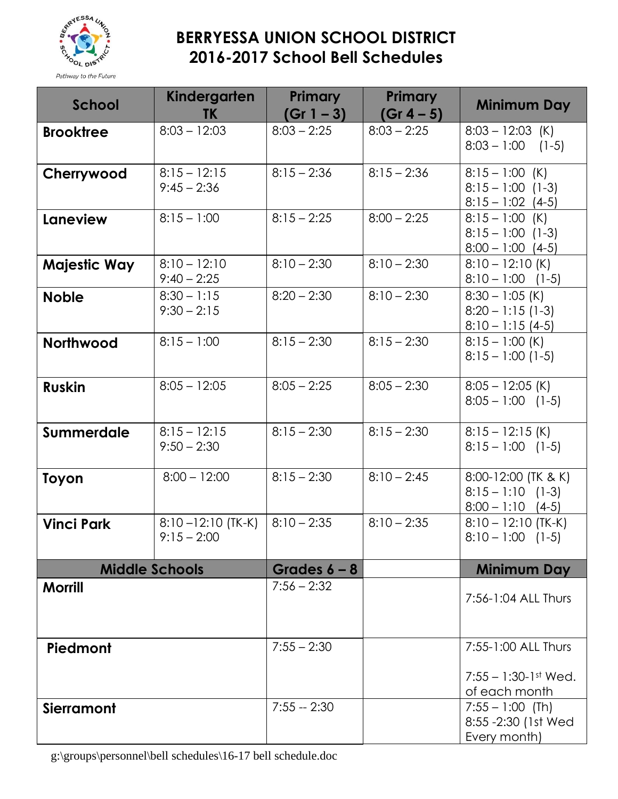

## **BERRYESSA UNION SCHOOL DISTRICT 2016-2017 School Bell Schedules**

| School                | Kindergarten<br><b>TK</b>              | <b>Primary</b><br>$(Gr 1 - 3)$ | <b>Primary</b><br>$(Gr 4 - 5)$ | <b>Minimum Day</b>                                                |
|-----------------------|----------------------------------------|--------------------------------|--------------------------------|-------------------------------------------------------------------|
| <b>Brooktree</b>      | $8:03 - 12:03$                         | $8:03 - 2:25$                  | $8:03 - 2:25$                  | $8:03 - 12:03$ (K)<br>$8:03 - 1:00$ (1-5)                         |
| Cherrywood            | $8:15 - 12:15$<br>$9:45 - 2:36$        | $8:15 - 2:36$                  | $8:15 - 2:36$                  | $8:15 - 1:00$ (K)<br>$8:15 - 1:00$ (1-3)<br>$8:15 - 1:02$ (4-5)   |
| Laneview              | $8:15 - 1:00$                          | $8:15 - 2:25$                  | $8:00 - 2:25$                  | $8:15 - 1:00$ (K)<br>$8:15 - 1:00$ (1-3)<br>$8:00 - 1:00$ (4-5)   |
| Majestic Way          | $8:10 - 12:10$<br>$9:40 - 2:25$        | $8:10 - 2:30$                  | $8:10 - 2:30$                  | $8:10 - 12:10$ (K)<br>$8:10 - 1:00$ (1-5)                         |
| <b>Noble</b>          | $8:30 - 1:15$<br>$9:30 - 2:15$         | $8:20 - 2:30$                  | $8:10 - 2:30$                  | $8:30 - 1:05$ (K)<br>$8:20 - 1:15(1-3)$<br>$8:10 - 1:15(4-5)$     |
| Northwood             | $8:15 - 1:00$                          | $8:15 - 2:30$                  | $8:15 - 2:30$                  | $8:15 - 1:00$ (K)<br>$8:15 - 1:00(1-5)$                           |
| <b>Ruskin</b>         | $8:05 - 12:05$                         | $8:05 - 2:25$                  | $8:05 - 2:30$                  | $8:05 - 12:05$ (K)<br>$8:05 - 1:00$ (1-5)                         |
| <b>Summerdale</b>     | $8:15 - 12:15$<br>$9:50 - 2:30$        | $8:15 - 2:30$                  | $8:15 - 2:30$                  | $8:15 - 12:15$ (K)<br>$8:15 - 1:00$ (1-5)                         |
| Toyon                 | $8:00 - 12:00$                         | $8:15 - 2:30$                  | $8:10 - 2:45$                  | 8:00-12:00 (TK & K)<br>$8:15 - 1:10$ (1-3)<br>$8:00 - 1:10$ (4-5) |
| <b>Vinci Park</b>     | $8:10 - 12:10$ (TK-K)<br>$9:15 - 2:00$ | $8:10 - 2:35$                  | $8:10 - 2:35$                  | $8:10 - 12:10$ (TK-K)<br>$8:10 - 1:00$ (1-5)                      |
| <b>Middle Schools</b> |                                        | Grades $6 - 8$                 |                                | <b>Minimum Day</b>                                                |
| <b>Morrill</b>        |                                        | $7:56 - 2:32$                  |                                | 7:56-1:04 ALL Thurs                                               |
| Piedmont              |                                        | $7:55 - 2:30$                  |                                | 7:55-1:00 ALL Thurs                                               |
|                       |                                        |                                |                                | $7:55 - 1:30-1$ st Wed.<br>of each month                          |
| <b>Sierramont</b>     |                                        | $7:55 - 2:30$                  |                                | $7:55 - 1:00$ (Th)<br>8:55 -2:30 (1st Wed<br>Every month)         |

g:\groups\personnel\bell schedules\16-17 bell schedule.doc